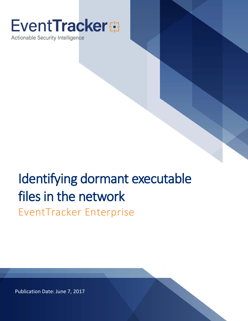# **EventTracker**

Actionable Security Intelligence

# Identifying dormant executable files in the network

EventTracker Enterprise

Publication Date: June 7, 2017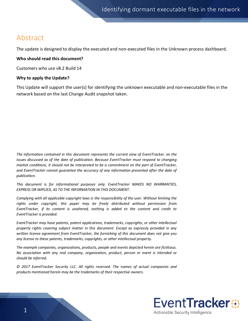### Abstract

The update is designed to display the executed and non-executed files in the Unknown process dashboard.

#### **Who should read this document?**

Customers who use v8.2 Build 14

#### **Why to apply the Update?**

This Update will support the user(s) for identifying the unknown executable and non-executable files in the network based on the last Change Audit snapshot taken.

*The information contained in this document represents the current view of EventTracker. on the issues discussed as of the date of publication. Because EventTracker must respond to changing market conditions, it should not be interpreted to be a commitment on the part of EventTracker, and EventTracker cannot guarantee the accuracy of any information presented after the date of publication.* 

*This document is for informational purposes only. EventTracker MAKES NO WARRANTIES,*  **EXPRESS OR IMPLIED, AS TO THE INFORMATION IN THIS DOCUMENT.** 

*Complying with all applicable copyright laws is the responsibility of the user. Without limiting the rights under copyright, this paper may be freely distributed without permission from EventTracker, if its content is unaltered, nothing is added to the content and credit to EventTracker is provided.* 

*EventTracker may have patents, patent applications, trademarks, copyrights, or other intellectual property rights covering subject matter in this document. Except as expressly provided in any written license agreement from EventTracker, the furnishing of this document does not give you any license to these patents, trademarks, copyrights, or other intellectual property.* 

*The example companies, organizations, products, people and events depicted herein are fictitious. No association with any real company, organization, product, person or event is intended or should be inferred.* 

*© 2017 EventTracker Security LLC. All rights reserved. The names of actual companies and products mentioned herein may be the trademarks of their respective owners.*

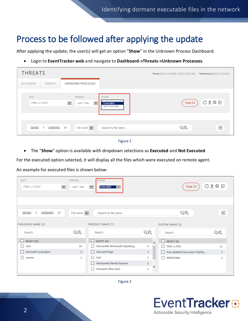## Process to be followed after applying the update

After applying the update, the user(s) will get an option "**Show**" in the Unknown Process Dashboard.

• Login to **EventTracker web** and navigate to **Dashboard->Threats->Unknown Processes**.

| <b>THREATS</b>             |               |                          |                                                 |                                  | Period 04/16 11:39 AM - 04/17 11:39 AM | Refreshed at 04/17 11:39 AM |
|----------------------------|---------------|--------------------------|-------------------------------------------------|----------------------------------|----------------------------------------|-----------------------------|
| ATTACKERS                  | TARGETS       |                          | UNKNOWN PROCESSES                               |                                  |                                        |                             |
| <b>SITE</b><br>PNPL-2-TEST |               | $\vert \mathbf{v} \vert$ | PERIOD<br>$\overline{\mathbf{v}}$<br>Last 1 day | SHOW<br>Executed<br>Not Executed | Total: 13                              | 已主办法                        |
| SIGNED                     | 3<br>UNSIGNED | 10                       | File name $ \mathbf{v} $                        | Search by file name              | QQ                                     | $\overline{\bullet}$        |



• The "**Show**" option is available with dropdown selections as **Executed** and **Not Executed**.

For the executed option selected, it will display all the files which were executed on remote agent.

An example for executed files is shown below:

| <b>SITE</b>                        | PERIOD                   | SHOW                                                 |                   |                                            |              |
|------------------------------------|--------------------------|------------------------------------------------------|-------------------|--------------------------------------------|--------------|
| $\checkmark$<br>PNPL-2-TEST        | Last 1 day               | $\vert \mathbf{v} \vert$<br>Executed<br>$\checkmark$ |                   | Total: 13                                  | <b>C盒券 計</b> |
|                                    |                          |                                                      |                   |                                            |              |
|                                    |                          |                                                      |                   |                                            |              |
|                                    |                          |                                                      |                   |                                            |              |
| 10<br>SIGNED<br>UNSIGNED<br>-3     | File name $ \mathbf{v} $ | Search by file name                                  |                   | QQ                                         | ₽            |
|                                    |                          |                                                      |                   |                                            |              |
| PUBLISHER NAME (3)                 |                          | PRODUCT NAME (7)                                     |                   | SYSTEM NAME (3)                            |              |
| Search                             | QQ                       | Search                                               | QQ                | Search                                     | QQ           |
| <b>SELECT ALL</b><br>L.            |                          | $\Box$ SELECT ALL                                    | $\triangleright$  | $\Box$ SELECT ALL                          |              |
| N/A<br>ш                           | 10                       | Microsoft® Windows® Operating                        | 4                 | PNPL-2-TEST<br>П                           | 11           |
| Microsoft Corporation<br>ப         | 2                        | Microsoft Edge<br>1 L                                | 3                 | Pnpl-testlab6.Toons.local~FQDNs<br>$\perp$ | $\mathbf{1}$ |
| Lenovo<br>$\overline{\phantom{a}}$ | 1                        | N/A<br>П                                             | 2                 | П<br>WIN2K3X64                             | $\mathbf{1}$ |
|                                    |                          | Windows® Internet Explorer                           | $\mathbf{1}$      |                                            |              |
|                                    |                          | Microsoft Office 2013                                | $\checkmark$<br>1 |                                            |              |



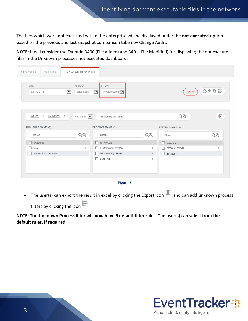The files which were not executed within the enterprise will be displayed under the **not-executed** option based on the previous and last snapshot comparison taken by Change Audit.

**NOTE:** It will consider the Event Id 3400 (File added) and 3401 (File Modified) for displaying the not executed files in the Unknown processes not executed dashboard.

| ATTACKERS<br>TARGETS                        | UNKNOWN PROCESSES                                                                                    |                                               |                |
|---------------------------------------------|------------------------------------------------------------------------------------------------------|-----------------------------------------------|----------------|
| SITE.<br>ET-TEST-1                          | SHOW<br>PERIOD<br>Not Executed V<br>Last 1 day<br>$\overline{\mathbf{v}}$<br>$\overline{\mathbf{v}}$ | Total: 3                                      | <b>C盒券 計</b>   |
| <b>SIGNED</b><br><b>UNSIGNED</b><br>-2<br>1 | File name $\vert \mathbf{v} \vert$<br>Search by file name                                            | QQ                                            | Ð              |
|                                             | PRODUCT NAME (3)                                                                                     |                                               |                |
| PUBLISHER NAME (2)<br>Search                | QQ<br>Search                                                                                         | SYSTEM NAME (2)<br>QQ<br>Search               | QQ             |
| $\Box$ SELECT ALL                           | SELECT ALL<br>u.                                                                                     | $\Box$ SELECT ALL                             |                |
| $\Box$ N/A                                  | IP Messenger for Win<br>$\overline{2}$                                                               | ESXWIN2K8VM1<br>1<br>$\overline{\phantom{a}}$ | $\overline{2}$ |
| Microsoft Corporation                       | Microsoft SQL Server<br>$\mathbf{1}$                                                                 | $\Box$ ET-TEST-1<br>$\mathbf{1}$              | $\mathbf{1}$   |



• The user(s) can export the result in excel by clicking the Export icon  $\blacksquare$  and can add unknown process filters by clicking the icon  $\stackrel{\text{g}}{=}$ .

**NOTE: The Unknown Process filter will now have 9 default filter rules. The user(s) can select from the default rules, if required.**